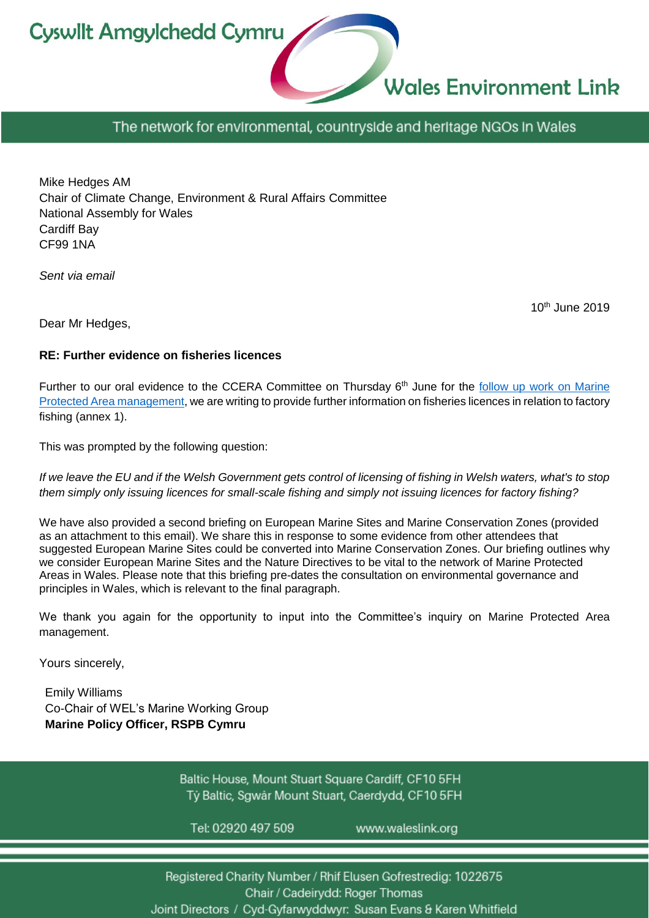**Cyswllt Amgylchedd Cymru** 



The network for environmental, countryside and heritage NGOs in Wales

Mike Hedges AM Chair of Climate Change, Environment & Rural Affairs Committee National Assembly for Wales Cardiff Bay CF99 1NA

*Sent via email*

10th June 2019

Dear Mr Hedges,

#### **RE: Further evidence on fisheries licences**

Further to our oral evidence to the CCERA Committee on Thursday 6<sup>th</sup> June for the follow up work on Marine [Protected Area management,](http://www.senedd.assembly.wales/mgConsultationDisplay.aspx?id=351&RPID=1514884343&cp=yes) we are writing to provide further information on fisheries licences in relation to factory fishing (annex 1).

This was prompted by the following question:

*If we leave the EU and if the Welsh Government gets control of licensing of fishing in Welsh waters, what's to stop them simply only issuing licences for small-scale fishing and simply not issuing licences for factory fishing?*

We have also provided a second briefing on European Marine Sites and Marine Conservation Zones (provided as an attachment to this email). We share this in response to some evidence from other attendees that suggested European Marine Sites could be converted into Marine Conservation Zones. Our briefing outlines why we consider European Marine Sites and the Nature Directives to be vital to the network of Marine Protected Areas in Wales. Please note that this briefing pre-dates the consultation on environmental governance and principles in Wales, which is relevant to the final paragraph.

We thank you again for the opportunity to input into the Committee's inquiry on Marine Protected Area management.

Yours sincerely,

Emily Williams Co-Chair of WEL's Marine Working Group **Marine Policy Officer, RSPB Cymru**

> Baltic House, Mount Stuart Square Cardiff, CF10 5FH Tỷ Baltic, Sqwâr Mount Stuart, Caerdydd, CF10 5FH

Tel: 02920 497 509

www.waleslink.org

Registered Charity Number / Rhif Elusen Gofrestredig: 1022675 Chair / Cadeirydd: Roger Thomas Joint Directors / Cyd-Gyfarwyddwyr: Susan Evans & Karen Whitfield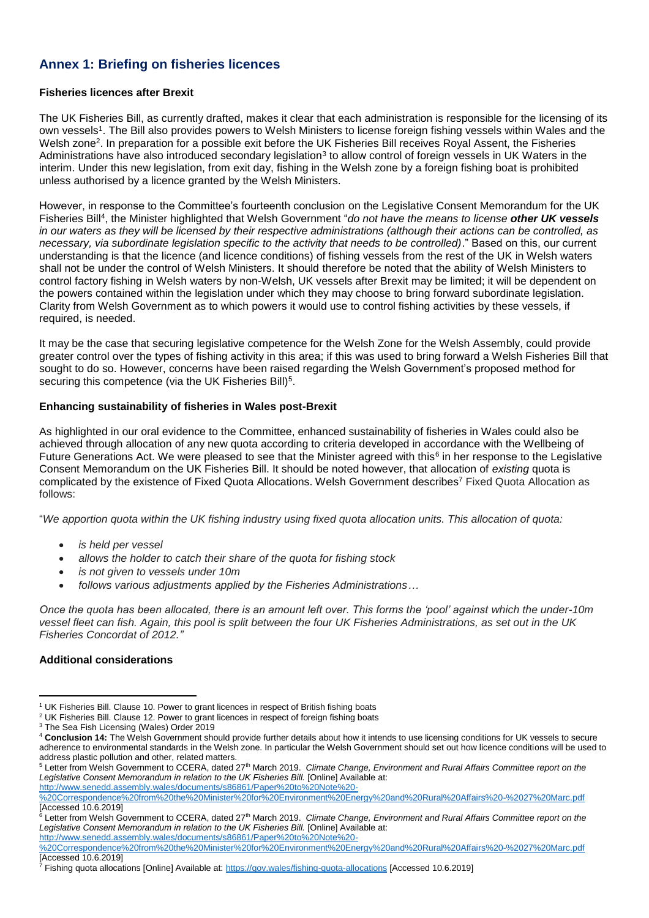# **Annex 1: Briefing on fisheries licences**

#### **Fisheries licences after Brexit**

The UK Fisheries Bill, as currently drafted, makes it clear that each administration is responsible for the licensing of its own vessels1. The Bill also provides powers to Welsh Ministers to license foreign fishing vessels within Wales and the Welsh zone<sup>2</sup>. In preparation for a possible exit before the UK Fisheries Bill receives Royal Assent, the Fisheries Administrations have also introduced secondary legislation<sup>3</sup> to allow control of foreign vessels in UK Waters in the interim. Under this new legislation, from exit day, fishing in the Welsh zone by a foreign fishing boat is prohibited unless authorised by a licence granted by the Welsh Ministers.

However, in response to the Committee's fourteenth conclusion on the Legislative Consent Memorandum for the UK Fisheries Bill<sup>4</sup> , the Minister highlighted that Welsh Government "*do not have the means to license other UK vessels in our waters as they will be licensed by their respective administrations (although their actions can be controlled, as necessary, via subordinate legislation specific to the activity that needs to be controlled)*." Based on this, our current understanding is that the licence (and licence conditions) of fishing vessels from the rest of the UK in Welsh waters shall not be under the control of Welsh Ministers. It should therefore be noted that the ability of Welsh Ministers to control factory fishing in Welsh waters by non-Welsh, UK vessels after Brexit may be limited; it will be dependent on the powers contained within the legislation under which they may choose to bring forward subordinate legislation. Clarity from Welsh Government as to which powers it would use to control fishing activities by these vessels, if required, is needed.

It may be the case that securing legislative competence for the Welsh Zone for the Welsh Assembly, could provide greater control over the types of fishing activity in this area; if this was used to bring forward a Welsh Fisheries Bill that sought to do so. However, concerns have been raised regarding the Welsh Government's proposed method for securing this competence (via the UK Fisheries Bill)<sup>5</sup>.

#### **Enhancing sustainability of fisheries in Wales post-Brexit**

As highlighted in our oral evidence to the Committee, enhanced sustainability of fisheries in Wales could also be achieved through allocation of any new quota according to criteria developed in accordance with the Wellbeing of Future Generations Act. We were pleased to see that the Minister agreed with this<sup>6</sup> in her response to the Legislative Consent Memorandum on the UK Fisheries Bill. It should be noted however, that allocation of *existing* quota is complicated by the existence of Fixed Quota Allocations. Welsh Government describes<sup>7</sup> Fixed Quota Allocation as follows:

"*We apportion quota within the UK fishing industry using fixed quota allocation units. This allocation of quota:*

- *is held per vessel*
- *allows the holder to catch their share of the quota for fishing stock*
- *is not given to vessels under 10m*
- *follows various adjustments applied by the Fisheries Administrations…*

*Once the quota has been allocated, there is an amount left over. This forms the 'pool' against which the under-10m vessel fleet can fish. Again, this pool is split between the four UK Fisheries Administrations, as set out in the UK Fisheries Concordat of 2012."*

#### **Additional considerations**

l <sup>1</sup> UK Fisheries Bill. Clause 10. Power to grant licences in respect of British fishing boats

<sup>&</sup>lt;sup>2</sup> UK Fisheries Bill. Clause 12. Power to grant licences in respect of foreign fishing boats

<sup>&</sup>lt;sup>3</sup> The Sea Fish Licensing (Wales) Order 2019

<sup>4</sup> **Conclusion 14:** The Welsh Government should provide further details about how it intends to use licensing conditions for UK vessels to secure adherence to environmental standards in the Welsh zone. In particular the Welsh Government should set out how licence conditions will be used to address plastic pollution and other, related matters.

<sup>&</sup>lt;sup>5</sup> Letter from Welsh Government to CCERA, dated 27<sup>th</sup> March 2019. *Climate Change, Environment and Rural Affairs Committee report on the Legislative Consent Memorandum in relation to the UK Fisheries Bill.* [Online] Available at: [http://www.senedd.assembly.wales/documents/s86861/Paper%20to%20Note%20-](http://www.senedd.assembly.wales/documents/s86861/Paper%20to%20Note%20-%20Correspondence%20from%20the%20Minister%20for%20Environment%20Energy%20and%20Rural%20Affairs%20-%2027%20Marc.pdf)

[<sup>%20</sup>Correspondence%20from%20the%20Minister%20for%20Environment%20Energy%20and%20Rural%20Affairs%20-%2027%20Marc.pdf](http://www.senedd.assembly.wales/documents/s86861/Paper%20to%20Note%20-%20Correspondence%20from%20the%20Minister%20for%20Environment%20Energy%20and%20Rural%20Affairs%20-%2027%20Marc.pdf) [Accessed 10.6.2019]

<sup>6</sup> Letter from Welsh Government to CCERA, dated 27<sup>th</sup> March 2019. *Climate Change, Environment and Rural Affairs Committee report on the Legislative Consent Memorandum in relation to the UK Fisheries Bill.* [Online] Available at:

[http://www.senedd.assembly.wales/documents/s86861/Paper%20to%20Note%20-](http://www.senedd.assembly.wales/documents/s86861/Paper%20to%20Note%20-%20Correspondence%20from%20the%20Minister%20for%20Environment%20Energy%20and%20Rural%20Affairs%20-%2027%20Marc.pdf)

[<sup>%20</sup>Correspondence%20from%20the%20Minister%20for%20Environment%20Energy%20and%20Rural%20Affairs%20-%2027%20Marc.pdf](http://www.senedd.assembly.wales/documents/s86861/Paper%20to%20Note%20-%20Correspondence%20from%20the%20Minister%20for%20Environment%20Energy%20and%20Rural%20Affairs%20-%2027%20Marc.pdf) [Accessed 10.6.2019]

<sup>7</sup> Fishing quota allocations [Online] Available at:<https://gov.wales/fishing-quota-allocations> [Accessed 10.6.2019]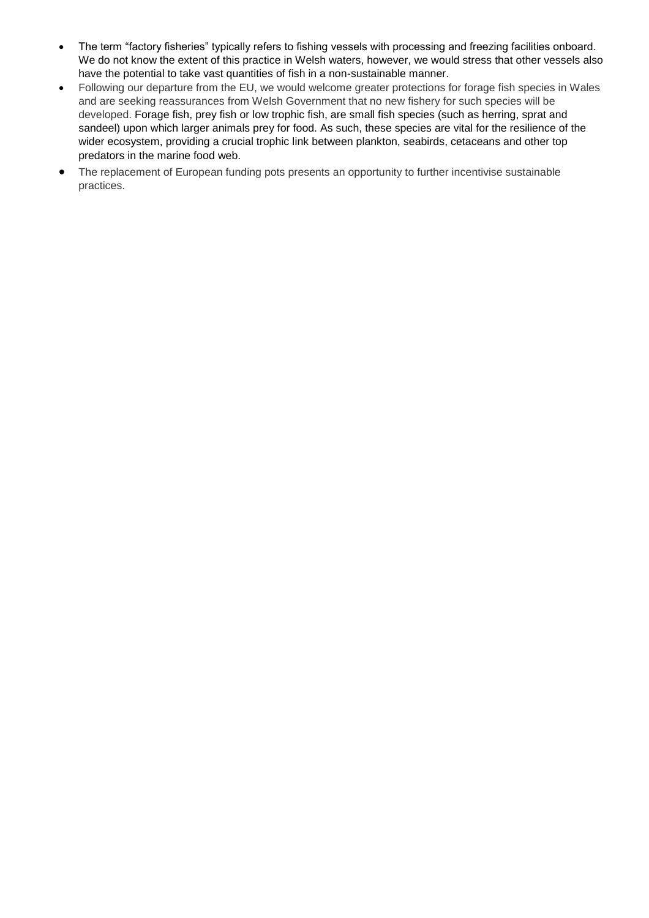- The term "factory fisheries" typically refers to fishing vessels with processing and freezing facilities onboard. We do not know the extent of this practice in Welsh waters, however, we would stress that other vessels also have the potential to take vast quantities of fish in a non-sustainable manner.
- Following our departure from the EU, we would welcome greater protections for forage fish species in Wales and are seeking reassurances from Welsh Government that no new fishery for such species will be developed. Forage fish, prey fish or low trophic fish, are small fish species (such as herring, sprat and sandeel) upon which larger animals prey for food. As such, these species are vital for the resilience of the wider ecosystem, providing a crucial trophic link between plankton, seabirds, cetaceans and other top predators in the marine food web.
- The replacement of European funding pots presents an opportunity to further incentivise sustainable practices.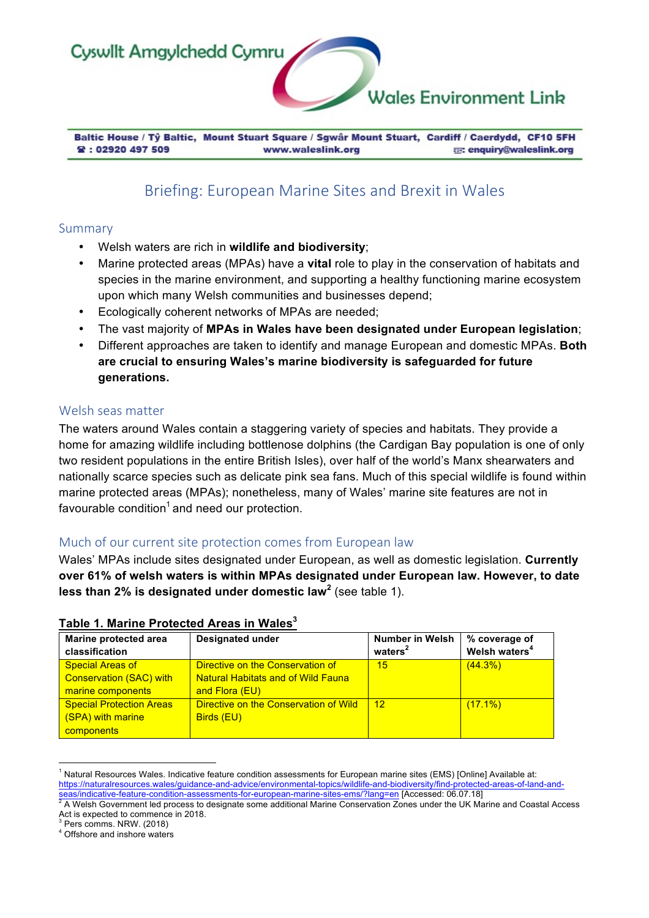

Baltic House / Tŷ Baltic, Mount Stuart Square / Sgwâr Mount Stuart, Cardiff / Caerdydd, CF10 5FH **曾: 02920 497 509** E: enquiry@waleslink.org www.waleslink.org

# Briefing: European Marine Sites and Brexit in Wales

### Summary

- Welsh waters are rich in **wildlife and biodiversity**;
- Marine protected areas (MPAs) have a **vital** role to play in the conservation of habitats and species in the marine environment, and supporting a healthy functioning marine ecosystem upon which many Welsh communities and businesses depend;
- Ecologically coherent networks of MPAs are needed;
- The vast majority of **MPAs in Wales have been designated under European legislation**;
- Different approaches are taken to identify and manage European and domestic MPAs. **Both are crucial to ensuring Wales's marine biodiversity is safeguarded for future generations.**

## Welsh seas matter

The waters around Wales contain a staggering variety of species and habitats. They provide a home for amazing wildlife including bottlenose dolphins (the Cardigan Bay population is one of only two resident populations in the entire British Isles), over half of the world's Manx shearwaters and nationally scarce species such as delicate pink sea fans. Much of this special wildlife is found within marine protected areas (MPAs); nonetheless, many of Wales' marine site features are not in favourable condition<sup>1</sup> and need our protection.

# Much of our current site protection comes from European law

Wales' MPAs include sites designated under European, as well as domestic legislation. **Currently over 61% of welsh waters is within MPAs designated under European law. However, to date less than 2% is designated under domestic law<sup>2</sup>** (see table 1).

| Marine protected area<br>classification                                   | <b>Designated under</b>                                                       | <b>Number in Welsh</b><br>waters <sup>2</sup> | % coverage of<br>Welsh waters <sup>4</sup> |
|---------------------------------------------------------------------------|-------------------------------------------------------------------------------|-----------------------------------------------|--------------------------------------------|
| <b>Special Areas of</b><br><b>Conservation (SAC) with</b>                 | Directive on the Conservation of<br><b>Natural Habitats and of Wild Fauna</b> | 15                                            | (44.3%)                                    |
| marine components<br><b>Special Protection Areas</b><br>(SPA) with marine | and Flora (EU)<br>Directive on the Conservation of Wild<br>Birds (EU)         | 12                                            | $(17.1\%)$                                 |
| components                                                                |                                                                               |                                               |                                            |

### **Table 1. Marine Protected Areas in Wales<sup>3</sup>**

<u> 1989 - Johann Barn, mars ann an t-Amhain an t-Amhain an t-Amhain an t-Amhain an t-Amhain an t-Amhain an t-Amh</u>  $1$  Natural Resources Wales. Indicative feature condition assessments for European marine sites (EMS) [Online] Available at: https://naturalresources.wales/guidance-and-advice/environmental-topics/wildlife-and-biodiversity/find-protected-areas-of-land-and-

A Welsh Government led process to designate some additional Marine Conservation Zones under the UK Marine and Coastal Access Act is expected to commence in 2018.<br>
<sup>3</sup> Pers comms. NRW. (2018)

 $4$  Offshore and inshore waters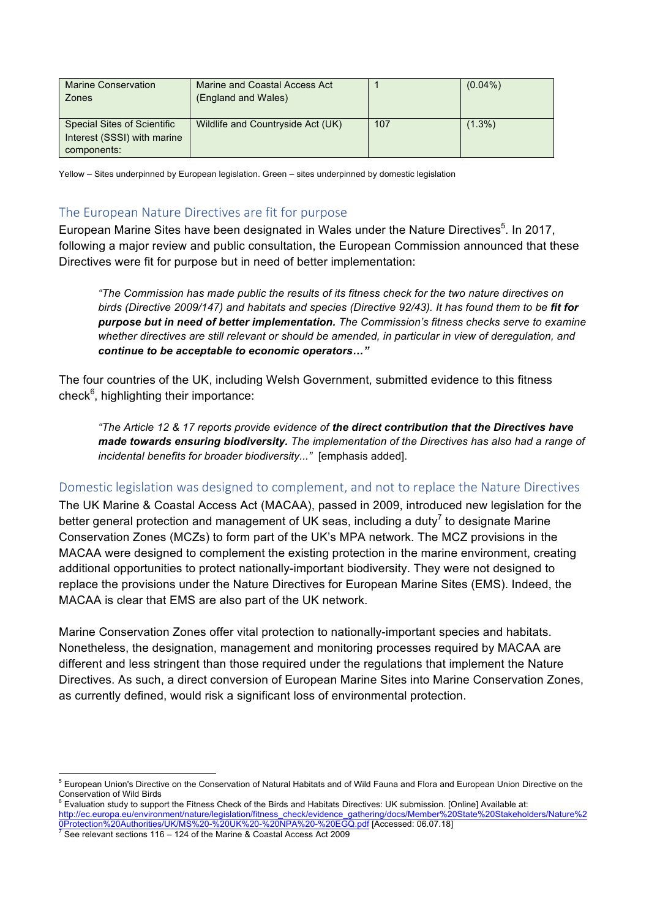| <b>Marine Conservation</b><br>Zones                                              | Marine and Coastal Access Act<br>(England and Wales) |     | $(0.04\%)$ |
|----------------------------------------------------------------------------------|------------------------------------------------------|-----|------------|
| <b>Special Sites of Scientific</b><br>Interest (SSSI) with marine<br>components: | Wildlife and Countryside Act (UK)                    | 107 | $(1.3\%)$  |

Yellow – Sites underpinned by European legislation. Green – sites underpinned by domestic legislation

## The European Nature Directives are fit for purpose

European Marine Sites have been designated in Wales under the Nature Directives<sup>5</sup>. In 2017, following a major review and public consultation, the European Commission announced that these Directives were fit for purpose but in need of better implementation:

*"The Commission has made public the results of its fitness check for the two nature directives on birds (Directive 2009/147) and habitats and species (Directive 92/43). It has found them to be fit for purpose but in need of better implementation. The Commission's fitness checks serve to examine whether directives are still relevant or should be amended, in particular in view of deregulation, and continue to be acceptable to economic operators…"*

The four countries of the UK, including Welsh Government, submitted evidence to this fitness check<sup>6</sup>, highlighting their importance:

*"The Article 12 & 17 reports provide evidence of the direct contribution that the Directives have made towards ensuring biodiversity. The implementation of the Directives has also had a range of incidental benefits for broader biodiversity..."* [emphasis added].

# Domestic legislation was designed to complement, and not to replace the Nature Directives

The UK Marine & Coastal Access Act (MACAA), passed in 2009, introduced new legislation for the better general protection and management of UK seas, including a duty<sup>7</sup> to designate Marine Conservation Zones (MCZs) to form part of the UK's MPA network. The MCZ provisions in the MACAA were designed to complement the existing protection in the marine environment, creating additional opportunities to protect nationally-important biodiversity. They were not designed to replace the provisions under the Nature Directives for European Marine Sites (EMS). Indeed, the MACAA is clear that EMS are also part of the UK network.

Marine Conservation Zones offer vital protection to nationally-important species and habitats. Nonetheless, the designation, management and monitoring processes required by MACAA are different and less stringent than those required under the regulations that implement the Nature Directives. As such, a direct conversion of European Marine Sites into Marine Conservation Zones, as currently defined, would risk a significant loss of environmental protection.

<sup>&</sup>lt;u> 1989 - Johann Barn, mars ann an t-Amhain an t-Amhain an t-Amhain an t-Amhain an t-Amhain an t-Amhain an t-Amh</u> <sup>5</sup> European Union's Directive on the Conservation of Natural Habitats and of Wild Fauna and Flora and European Union Directive on the Conservation of Wild Birds

<sup>6</sup> Evaluation study to support the Fitness Check of the Birds and Habitats Directives: UK submission. [Online] Available at: http://ec.europa.eu/environment/nature/legislation/fitness\_check/evidence\_gathering/docs/Member%20State%20Stakeholders/Nature%2 0Protection%20Authorities/UK/MS%20-%20UK%20-%20NPA%20-%20EGQ.pdf [Accessed: 06.07.18] 7 See relevant sections 116 – 124 of the Marine & Coastal Access Act 2009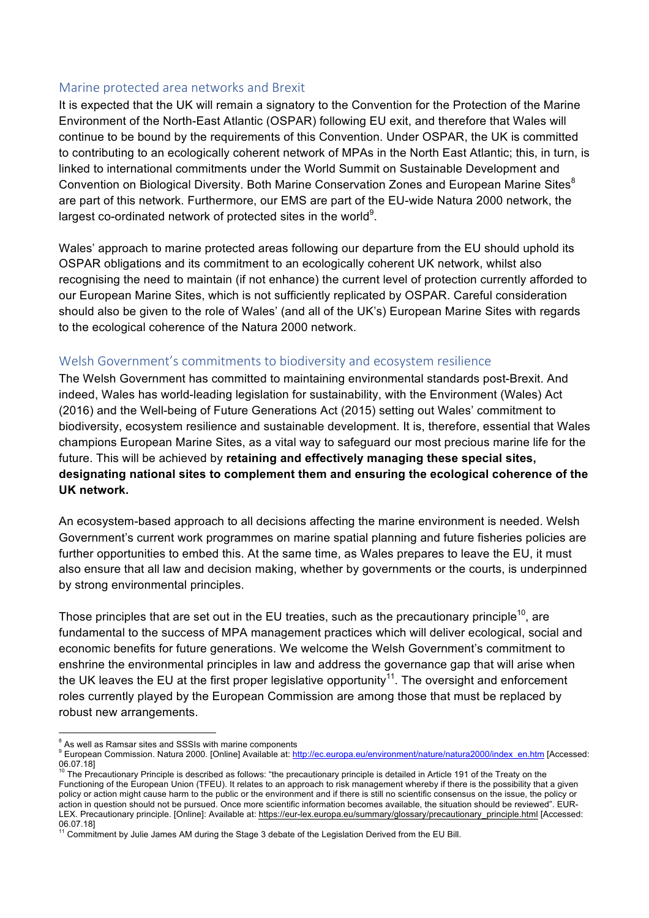## Marine protected area networks and Brexit

It is expected that the UK will remain a signatory to the Convention for the Protection of the Marine Environment of the North-East Atlantic (OSPAR) following EU exit, and therefore that Wales will continue to be bound by the requirements of this Convention. Under OSPAR, the UK is committed to contributing to an ecologically coherent network of MPAs in the North East Atlantic; this, in turn, is linked to international commitments under the World Summit on Sustainable Development and Convention on Biological Diversity. Both Marine Conservation Zones and European Marine Sites<sup>8</sup> are part of this network. Furthermore, our EMS are part of the EU-wide Natura 2000 network, the largest co-ordinated network of protected sites in the world $9$ .

Wales' approach to marine protected areas following our departure from the EU should uphold its OSPAR obligations and its commitment to an ecologically coherent UK network, whilst also recognising the need to maintain (if not enhance) the current level of protection currently afforded to our European Marine Sites, which is not sufficiently replicated by OSPAR. Careful consideration should also be given to the role of Wales' (and all of the UK's) European Marine Sites with regards to the ecological coherence of the Natura 2000 network.

# Welsh Government's commitments to biodiversity and ecosystem resilience

The Welsh Government has committed to maintaining environmental standards post-Brexit. And indeed, Wales has world-leading legislation for sustainability, with the Environment (Wales) Act (2016) and the Well-being of Future Generations Act (2015) setting out Wales' commitment to biodiversity, ecosystem resilience and sustainable development. It is, therefore, essential that Wales champions European Marine Sites, as a vital way to safeguard our most precious marine life for the future. This will be achieved by **retaining and effectively managing these special sites, designating national sites to complement them and ensuring the ecological coherence of the UK network.** 

An ecosystem-based approach to all decisions affecting the marine environment is needed. Welsh Government's current work programmes on marine spatial planning and future fisheries policies are further opportunities to embed this. At the same time, as Wales prepares to leave the EU, it must also ensure that all law and decision making, whether by governments or the courts, is underpinned by strong environmental principles.

Those principles that are set out in the EU treaties, such as the precautionary principle<sup>10</sup>, are fundamental to the success of MPA management practices which will deliver ecological, social and economic benefits for future generations. We welcome the Welsh Government's commitment to enshrine the environmental principles in law and address the governance gap that will arise when the UK leaves the EU at the first proper legislative opportunity<sup>11</sup>. The oversight and enforcement roles currently played by the European Commission are among those that must be replaced by robust new arrangements.

<u> 1989 - Johann Barn, mars ann an t-Amhain an t-Amhain an t-Amhain an t-Amhain an t-Amhain an t-Amhain an t-Amh</u>

 $8<sup>8</sup>$  As well as Ramsar sites and SSSIs with marine components

<sup>9</sup> European Commission. Natura 2000. [Online] Available at: http://ec.europa.eu/environment/nature/natura2000/index\_en.htm [Accessed: 06.07.18]

The Precautionary Principle is described as follows: "the precautionary principle is detailed in Article 191 of the Treaty on the Functioning of the European Union (TFEU). It relates to an approach to risk management whereby if there is the possibility that a given policy or action might cause harm to the public or the environment and if there is still no scientific consensus on the issue, the policy or action in question should not be pursued. Once more scientific information becomes available, the situation should be reviewed". EUR-LEX. Precautionary principle. [Online]: Available at: https://eur-lex.europa.eu/summary/glossary/precautionary\_principle.html [Accessed: 06.07.18]

 $1$  Commitment by Julie James AM during the Stage 3 debate of the Legislation Derived from the EU Bill.